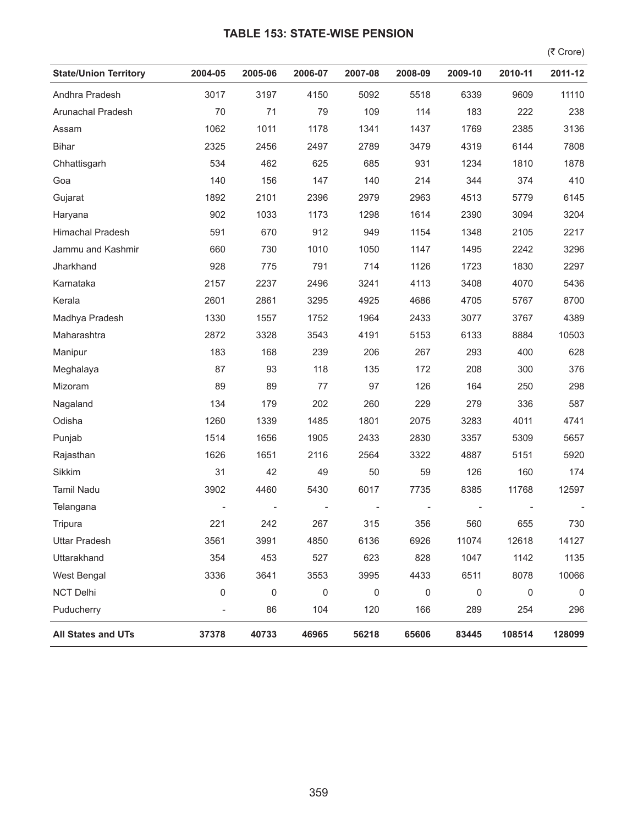## **TABLE 153: STATE-WISE PENSION**

 $($ ₹ Crore)

| <b>State/Union Territory</b> | 2004-05             | 2005-06 | 2006-07     | 2007-08     | 2008-09     | 2009-10   | 2010-11     | 2011-12     |
|------------------------------|---------------------|---------|-------------|-------------|-------------|-----------|-------------|-------------|
| Andhra Pradesh               | 3017                | 3197    | 4150        | 5092        | 5518        | 6339      | 9609        | 11110       |
| Arunachal Pradesh            | 70                  | 71      | 79          | 109         | 114         | 183       | 222         | 238         |
| Assam                        | 1062                | 1011    | 1178        | 1341        | 1437        | 1769      | 2385        | 3136        |
| <b>Bihar</b>                 | 2325                | 2456    | 2497        | 2789        | 3479        | 4319      | 6144        | 7808        |
| Chhattisgarh                 | 534                 | 462     | 625         | 685         | 931         | 1234      | 1810        | 1878        |
| Goa                          | 140                 | 156     | 147         | 140         | 214         | 344       | 374         | 410         |
| Gujarat                      | 1892                | 2101    | 2396        | 2979        | 2963        | 4513      | 5779        | 6145        |
| Haryana                      | 902                 | 1033    | 1173        | 1298        | 1614        | 2390      | 3094        | 3204        |
| <b>Himachal Pradesh</b>      | 591                 | 670     | 912         | 949         | 1154        | 1348      | 2105        | 2217        |
| Jammu and Kashmir            | 660                 | 730     | 1010        | 1050        | 1147        | 1495      | 2242        | 3296        |
| Jharkhand                    | 928                 | 775     | 791         | 714         | 1126        | 1723      | 1830        | 2297        |
| Karnataka                    | 2157                | 2237    | 2496        | 3241        | 4113        | 3408      | 4070        | 5436        |
| Kerala                       | 2601                | 2861    | 3295        | 4925        | 4686        | 4705      | 5767        | 8700        |
| Madhya Pradesh               | 1330                | 1557    | 1752        | 1964        | 2433        | 3077      | 3767        | 4389        |
| Maharashtra                  | 2872                | 3328    | 3543        | 4191        | 5153        | 6133      | 8884        | 10503       |
| Manipur                      | 183                 | 168     | 239         | 206         | 267         | 293       | 400         | 628         |
| Meghalaya                    | 87                  | 93      | 118         | 135         | 172         | 208       | 300         | 376         |
| Mizoram                      | 89                  | 89      | 77          | 97          | 126         | 164       | 250         | 298         |
| Nagaland                     | 134                 | 179     | 202         | 260         | 229         | 279       | 336         | 587         |
| Odisha                       | 1260                | 1339    | 1485        | 1801        | 2075        | 3283      | 4011        | 4741        |
| Punjab                       | 1514                | 1656    | 1905        | 2433        | 2830        | 3357      | 5309        | 5657        |
| Rajasthan                    | 1626                | 1651    | 2116        | 2564        | 3322        | 4887      | 5151        | 5920        |
| Sikkim                       | 31                  | 42      | 49          | 50          | 59          | 126       | 160         | 174         |
| Tamil Nadu                   | 3902                | 4460    | 5430        | 6017        | 7735        | 8385      | 11768       | 12597       |
| Telangana                    |                     |         |             |             |             |           |             |             |
| Tripura                      | 221                 | 242     | 267         | 315         | 356         | 560       | 655         | 730         |
| <b>Uttar Pradesh</b>         | 3561                | 3991    | 4850        | 6136        | 6926        | 11074     | 12618       | 14127       |
| Uttarakhand                  | 354                 | 453     | 527         | 623         | 828         | 1047      | 1142        | 1135        |
| West Bengal                  | 3336                | 3641    | 3553        | 3995        | 4433        | 6511      | 8078        | 10066       |
| <b>NCT Delhi</b>             | $\mathsf{O}\xspace$ | 0       | $\mathbf 0$ | $\mathbf 0$ | $\mathbf 0$ | $\pmb{0}$ | $\mathbf 0$ | $\mathsf 0$ |
| Puducherry                   |                     | 86      | 104         | 120         | 166         | 289       | 254         | 296         |
| All States and UTs           | 37378               | 40733   | 46965       | 56218       | 65606       | 83445     | 108514      | 128099      |